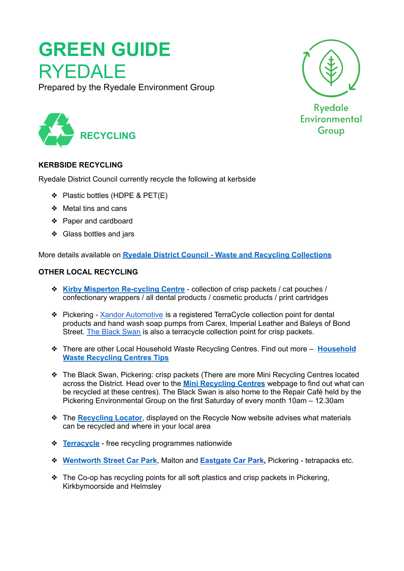# **GREEN GUIDE** RYEDALE

Prepared by the Ryedale Environment Group





**Ryedale** Environmental **Group** 

### **KERBSIDE RECYCLING**

Ryedale District Council currently recycle the following at kerbside

- ❖ Plastic bottles (HDPE & PET(E)
- ❖ Metal tins and cans
- ❖ Paper and cardboard
- ❖ Glass bottles and jars

More details available on **Ryedale District Council - Waste and Recycling [Collections](https://www.ryedale.gov.uk/environment/rubbish-recycling/waste-and-recycling-collections.html)**

### **OTHER LOCAL RECYCLING**

- ❖ **Kirby Misperton [Re-cycling](https://ryedaleenvirogroup.co.uk/projects/the-kirby-misperton-recycling-centre/) Centre** collection of crisp packets / cat pouches / confectionary wrappers / all dental products / cosmetic products / print cartridges
- ❖ Pickering Xandor [Automotive](https://www.google.com/maps/place/Xandor+Automotive+Pickering+Ltd./@54.2472493,-0.7976675,17z/data=!3m1!4b1!4m5!3m4!1s0x487f286e292c14e9:0x37ec99b85f841417!8m2!3d54.2472481!4d-0.7954756) is a registered TerraCycle collection point for dental products and hand wash soap pumps from Carex, Imperial Leather and Baleys of Bond Street. The Black [Swan](https://www.google.com/maps/place/The+Black+Swan+Coaching+Inn+Pickering+-+Hotel+%26+Restaurant/@54.2456412,-0.7769761,18.47z/data=!3m1!5s0x487f288f5288d205:0x8d549c53ce514dac!4m8!3m7!1s0x487ecff05b7e7c19:0xff7bf00dbfcfd056!5m2!4m1!1i2!8m2!3d54.245268!4d-0.776106) is also a terracycle collection point for crisp packets.
- ❖ There are other Local Household Waste Recycling Centres. Find out more **[Household](https://www.ryedale.gov.uk/environment/rubbish-recycling/household-waste-recycling-centres-tips.html) Waste [Recycling](https://www.ryedale.gov.uk/environment/rubbish-recycling/household-waste-recycling-centres-tips.html) Centres Tips**
- ❖ The Black Swan, Pickering: crisp packets (There are more Mini Recycling Centres located across the District. Head over to the **Mini [Recycling](https://www.ryedale.gov.uk/environment/rubbish-recycling/mini-recycling-centres.html) Centres** webpage to find out what can be recycled at these centres). The Black Swan is also home to the Repair Café held by the Pickering Environmental Group on the first Saturday of every month 10am – 12.30am
- ❖ The **[Recycling](https://www.recyclenow.com/local-recycling) Locator**, displayed on the Recycle Now website advises what materials can be recycled and where in your local area
- ❖ **[Terracycle](https://www.terracycle.com/en-GB/brigades)** free recycling programmes nationwide
- ❖ **[Wentworth](https://www.google.com/maps/place/Wentworth+Street+Car+Park/@54.1378043,-0.8001738,17.01z/data=!4m13!1m7!3m6!1s0x487f2a4360608573:0x995bed737ee6cf8e!2sWentworth+St,+Malton!3b1!8m2!3d54.1380774!4d-0.7994918!3m4!1s0x487f2a44c3d2830b:0x8af22817c26045c0!8m2!3d54.1378388!4d-0.7972719) Street Car Park**, Malton and **[Eastgate](https://www.google.com/maps/place/Eastgate+Car+Park/@54.2436995,-0.7747141,17z/data=!4m13!1m7!3m6!1s0x487f288e248cd405:0x5c823d71a64ba45d!2sEastgate,+Pickering!3b1!8m2!3d54.2419723!4d-0.7705191!3m4!1s0x487f288f16d2af79:0xf08f4ed380242ea9!8m2!3d54.2440772!4d-0.7741606) Car Park,** Pickering tetrapacks etc.
- ❖ The Co-op has recycling points for all soft plastics and crisp packets in Pickering, Kirkbymoorside and Helmsley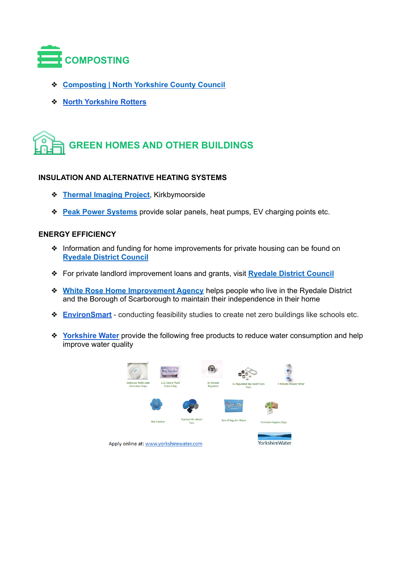

- ❖ **[Composting](https://www.northyorks.gov.uk/composting) | North Yorkshire County Council**
- ❖ **North [Yorkshire](https://www.northyorks.gov.uk/north-yorkshire-rotters) Rotters**

# **GREEN HOMES AND OTHER BUILDINGS**

#### **INSULATION AND ALTERNATIVE HEATING SYSTEMS**

- ❖ **[Thermal](https://kirkbymoorsideenvironment.wordpress.com/about-thermal-imaging/) Imaging Project**, Kirkbymoorside
- ❖ **Peak Power [Systems](https://www.peakpowersystems.co.uk/)** provide solar panels, heat pumps, EV charging points etc.

#### **ENERGY EFFICIENCY**

- ❖ Information and funding for home improvements for private housing can be found on **[Ryedale](https://www.ryedale.gov.uk/living-here/housing/private-housing.html) District Council**
- ❖ For private landlord improvement loans and grants, visit **[Ryedale](https://www.ryedale.gov.uk/living-here/housing/private-housing/private-landlord-improvement-loans-and-grants.html) District Council**
- ❖ **White Rose Home [Improvement](https://www.ryedale.gov.uk/living-here/housing/white-rose-home-improvement-agency.html) Agency** helps people who live in the Ryedale District and the Borough of Scarborough to maintain their independence in their home
- ❖ **[EnvironSmart](https://www.environsmart.co.uk/)** conducting feasibility studies to create net zero buildings like schools etc.
- ❖ **[Yorkshire](https://www.yorkshirewater.com/) Water** provide the following free products to reduce water consumption and help improve water quality

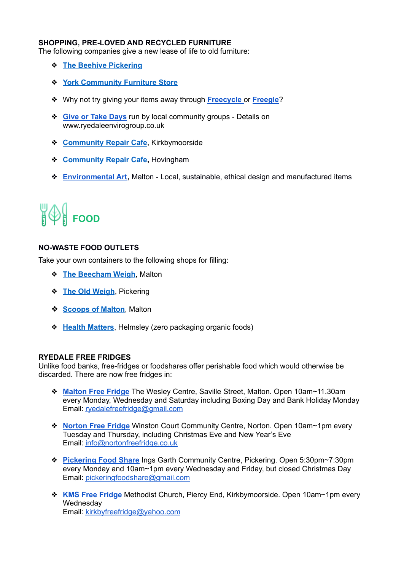#### **SHOPPING, PRE-LOVED AND RECYCLED FURNITURE**

The following companies give a new lease of life to old furniture:

- ❖ **The Beehive [Pickering](https://www.facebook.com/thebeehive.pickering/)**
- ❖ **York [Community](https://communityfurniturestore.co.uk/wordpress/) Furniture Store**
- ❖ Why not try giving your items away through **[Freecycle](https://www.freecycle.org/)** or **[Freegle](https://www.ilovefreegle.org/)**?
- ❖ **Give or Take [Days](http://www.ryedaleenvirogroup.co.uk/)** run by local community groups Details on [www.ryedaleenvirogroup.co.uk](http://www.ryedaleenvirogroup.co.uk/)
- ❖ **[Community](https://kirkbymoorsideenvironment.wordpress.com/waste-recycling/) Repair Cafe**, Kirkbymoorside
- ❖ **[Community](https://www.project-purple.org.uk/what-we-do) Repair Cafe,** Hovingham
- ❖ **[Environmental](https://www.environmental-art.co.uk/) Art,** Malton Local, sustainable, ethical design and manufactured items

# **FOOD**

#### **NO-WASTE FOOD OUTLETS**

Take your own containers to the following shops for filling:

- ❖ **The [Beecham](https://thebeechamweighshop.co.uk/) Weigh**, Malton
- ❖ **The Old [Weigh](https://www.theoldweigh.co.uk/)**, Pickering
- ❖ **[Scoops](https://www.scoopsofmalton.co.uk/) of Malton**, Malton
- ❖ **Health [Matters](http://healthmatters.shop/)**, Helmsley (zero packaging organic foods)

#### **RYEDALE FREE FRIDGES**

Unlike food banks, free-fridges or foodshares offer perishable food which would otherwise be discarded. There are now free fridges in:

- ❖ **[Malton](https://www.ryedalefreefridge.org/) Free Fridge** The Wesley Centre, Saville Street, Malton. Open 10am~11.30am every Monday, Wednesday and Saturday including Boxing Day and Bank Holiday Monday Email: [ryedalefreefridge@gmail.com](mailto:ryedalefreefridge@gmail.com)
- ❖ **[Norton](https://www.nortonfreefridge.co.uk/) Free Fridge** Winston Court Community Centre, Norton. Open 10am~1pm every Tuesday and Thursday, including Christmas Eve and New Year's Eve Email: [info@nortonfreefridge.co.uk](mailto:info@nortonfreefridge.co.uk)
- ❖ **[Pickering](http://www.pickeringfoodshare.org/) Food Share** Ings Garth Community Centre, Pickering. Open 5:30pm~7:30pm every Monday and 10am~1pm every Wednesday and Friday, but closed Christmas Day Email: [pickeringfoodshare@gmail.com](mailto:pickeringfoodshare@gmail.com)
- ❖ **KMS Free [Fridge](https://www.facebook.com/kirkbycommunityfridge)** Methodist Church, Piercy End, Kirkbymoorside. Open 10am~1pm every **Wednesday** Email: [kirkbyfreefridge@yahoo.com](mailto:kirkbyfreefridge@yahoo.com)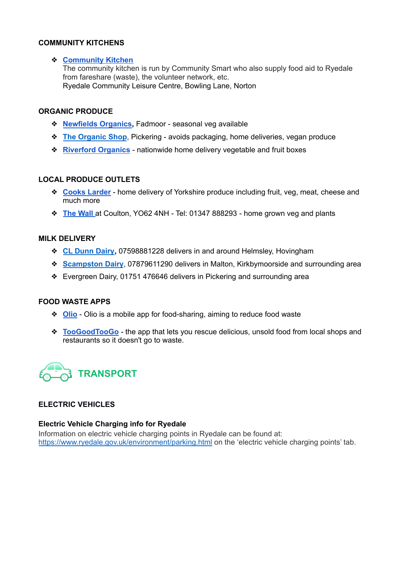#### **COMMUNITY KITCHENS**

#### ❖ **[Community](http://www.communitysmart.org) Kitchen**

The community kitchen is run by Community Smart who also supply food aid to Ryedale from fareshare (waste), the volunteer network, etc. Ryedale Community Leisure Centre, Bowling Lane, Norton

#### **ORGANIC PRODUCE**

- ❖ **[Newfields](https://www.newfieldsorganics.com/) Organics,** Fadmoor seasonal veg available
- ❖ **The [Organic](https://www.organicfoodandhealthcare.co.uk/contact-us) Shop**, Pickering avoids packaging, home deliveries, vegan produce
- ❖ **[Riverford](https://www.riverford.co.uk/) Organics** nationwide home delivery vegetable and fruit boxes

#### **LOCAL PRODUCE OUTLETS**

- ❖ **Cooks [Larder](https://cookslarder.co.uk/)** home delivery of Yorkshire produce including fruit, veg, meat, cheese and much more
- ❖ **The [Wall](https://www.facebook.com/thewallcoulton/)** at Coulton, YO62 4NH Tel: 01347 888293 home grown veg and plants

#### **MILK DELIVERY**

- ❖ **CL [Dunn](https://york.cylex-uk.co.uk/company/cl-dunn-limited-24217482.html) Dairy,** 07598881228 delivers in and around Helmsley, Hovingham
- ❖ **[Scampston](https://www.facebook.com/TSDMilkDeliveryService) Dairy**, 07879611290 delivers in Malton, Kirkbymoorside and surrounding area
- ❖ Evergreen Dairy, 01751 476646 delivers in Pickering and surrounding area

#### **FOOD WASTE APPS**

- ❖ **[Olio](https://olioex.com/)** Olio is a mobile app for food-sharing, aiming to reduce food waste
- ❖ **[TooGoodTooGo](https://toogoodtogo.org/en)** the app that lets you rescue delicious, unsold food from local shops and restaurants so it doesn't go to waste.



#### **ELECTRIC VEHICLES**

#### **Electric Vehicle Charging info for Ryedale**

Information on electric vehicle charging points in Ryedale can be found at: <https://www.ryedale.gov.uk/environment/parking.html> on the 'electric vehicle charging points' tab.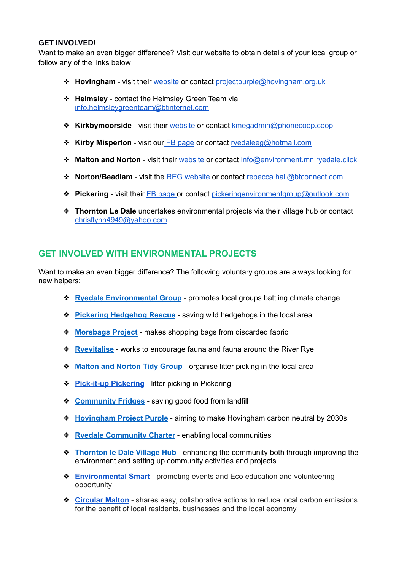#### **GET INVOLVED!**

Want to make an even bigger difference? Visit our website to obtain details of your local group or follow any of the links below

- ❖ **Hovingham** visit their [website](https://www.project-purple.org.uk/) or contact [projectpurple@hovingham.org.uk](mailto:projectpurple@hovingham.org.uk)
- ❖ **Helmsley** contact the Helmsley Green Team via [info.helmsleygreenteam@btinternet.com](mailto:info.helmsleygreenteam@btinternet.com)
- ❖ **Kirkbymoorside** visit their [website](https://kirkbymoorsideenvironment.wordpress.com/) or contact [kmegadmin@phonecoop.coop](mailto:kmegadmin@phonecoop.coop)
- ❖ **Kirby Misperton** visit our FB [page](https://www.facebook.com/groups/1510141569127975) or contact [ryedaleeg@hotmail.com](mailto:ryedaleeg@hotmail.com)
- ❖ **Malton and Norton** visit their [website](https://derwenteco.org/?fbclid=IwAR0HSvhZzE4PjVDY3T7d7yx_CPreZTztQM9aVmTu3SpbWAKEjiQ8eSL8Sv8) or contact [info@environment.mn.ryedale.click](mailto:info@environment.mn)
- ❖ **Norton/Beadlam** visit the REG [website](https://ryedaleenvirogroup.co.uk/the-village-green-nawton-and-beadlam/) or contact [rebecca.hall@btconnect.com](mailto:rebecca.hall@btconnect.com)
- ❖ **Pickering** visit their FB [page](https://www.facebook.com/groups/321169418571098) or contact [pickeringenvironmentgroup@outlook.com](mailto:pickeringenvironmentgroup@outlook.com)
- ❖ **Thornton Le Dale** undertakes environmental projects via their village hub or contact [chrisflynn4949@yahoo.com](mailto:chrisflynn4949@yahoo.com)

## **GET INVOLVED WITH ENVIRONMENTAL PROJECTS**

Want to make an even bigger difference? The following voluntary groups are always looking for new helpers:

- ❖ **Ryedale [Environmental](http://www.ryedaleenvirogroup.co.uk/) Group** promotes local groups battling climate change
- ❖ **Pickering [Hedgehog](http://pickeringhedgehogrescue.btck.co.uk/) Rescue** saving wild hedgehogs in the local area
- ❖ **[Morsbags](https://morsbags.com/) Project** makes shopping bags from discarded fabric
- ❖ **[Ryevitalise](https://www.northyorkmoors.org.uk/looking-after/ryevitalise)** works to encourage fauna and fauna around the River Rye
- ❖ **Malton and [Norton](https://www.facebook.com/Maltontidygroup/) Tidy Group** organise litter picking in the local area
- ❖ **[Pick-it-up](https://www.facebook.com/groups/871431443709315) Pickering** litter picking in Pickering
- ❖ **[Community](https://www.ryedalefreefridge.org/) Fridges** saving good food from landfill
- ❖ **[Hovingham](https://www.project-purple.org.uk/) Project Purple** aiming to make Hovingham carbon neutral by 2030s
- ❖ **Ryedale [Community](https://www.rye-charter.org.uk/) Charter** enabling local communities
- ❖ **[Thornton](https://thorntonledalevillagehub.org/) le Dale Village Hub** enhancing the community both through improving the environment and setting up community activities and projects
- ❖ **[Environmental](https://www.environmental-smart.co.uk/) Smart** promoting events and Eco education and volunteering opportunity
- ❖ **[Circular](https://www.facebook.com/Circular-Malton-Norton-100406671588250) Malton** shares easy, collaborative actions to reduce local carbon emissions for the benefit of local residents, businesses and the local economy